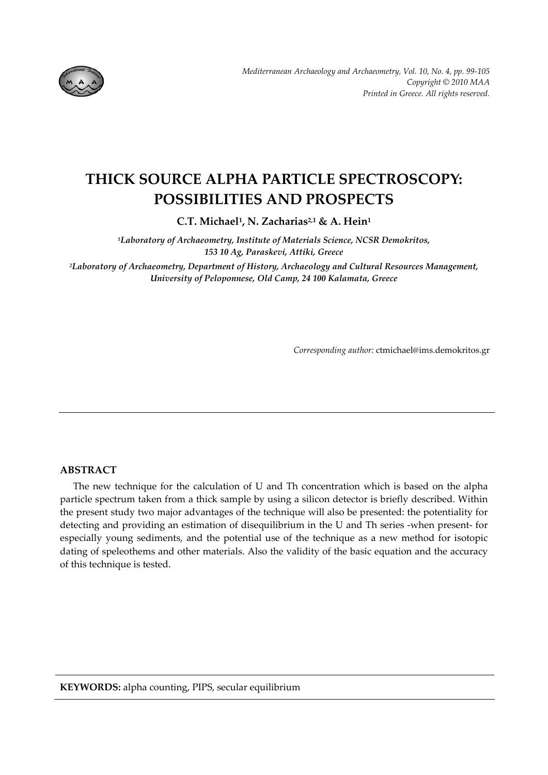

# **THICK SOURCE ALPHA PARTICLE SPECTROSCOPY: POSSIBILITIES AND PROSPECTS**

**C.T. Michael1, N. Zacharias2,1 & A. Hein1** 

*1Laboratory of Archaeometry, Institute of Materials Science, NCSR Demokritos, 153 10 Ag, Paraskevi, Attiki, Greece*

*2Laboratory of Archaeometry, Department of Ηistory, Archaeology and Cultural Resources Management, University of Peloponnese, Old Camp, 24 100 Kalamata, Greece* 

*Corresponding author:* ctmichael@ims.demokritos.gr

# **ABSTRACT**

The new technique for the calculation of U and Th concentration which is based on the alpha particle spectrum taken from a thick sample by using a silicon detector is briefly described. Within the present study two major advantages of the technique will also be presented: the potentiality for detecting and providing an estimation of disequilibrium in the U and Th series ‐when present‐ for especially young sediments, and the potential use of the technique as a new method for isotopic dating of speleothems and other materials. Also the validity of the basic equation and the accuracy of this technique is tested.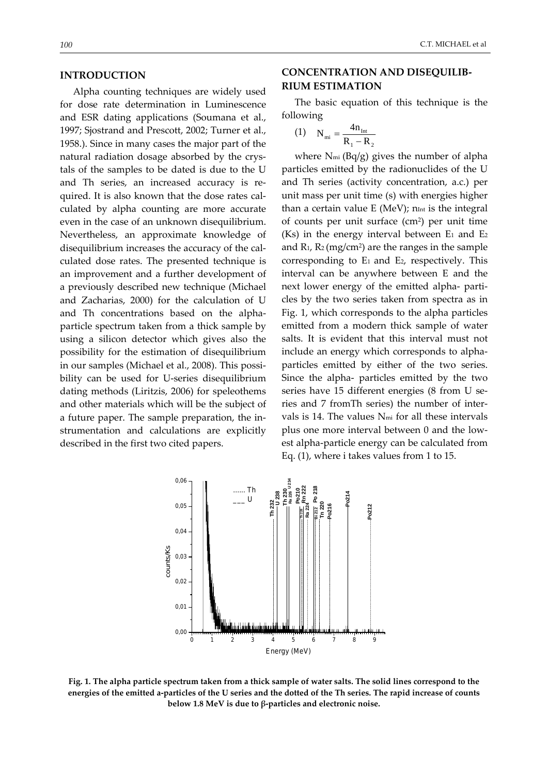#### **INTRODUCTION**

Alpha counting techniques are widely used for dose rate determination in Luminescence and ESR dating applications (Soumana et al., 1997; Sjostrand and Prescott, 2002; Turner et al., 1958.). Since in many cases the major part of the natural radiation dosage absorbed by the crys‐ tals of the samples to be dated is due to the U and Th series, an increased accuracy is re‐ quired. It is also known that the dose rates calculated by alpha counting are more accurate even in the case of an unknown disequilibrium. Nevertheless, an approximate knowledge of disequilibrium increases the accuracy of the cal‐ culated dose rates. The presented technique is an improvement and a further development of a previously described new technique (Michael and Zacharias, 2000) for the calculation of U and Th concentrations based on the alpha‐ particle spectrum taken from a thick sample by using a silicon detector which gives also the possibility for the estimation of disequilibrium in our samples (Michael et al., 2008). This possi‐ bility can be used for U‐series disequilibrium dating methods (Liritzis, 2006) for speleothems and other materials which will be the subject of a future paper. The sample preparation, the in‐ strumentation and calculations are explicitly described in the first two cited papers.

#### *100* C.T. MICHAEL et al

# **CONCENTRATION AND DISEQUILIB‐ RIUM ESTIMATION**

The basic equation of this technique is the following

$$
(1) \quad N_{mi} = \frac{4n_{Int}}{R_1 - R_2}
$$

where  $N_{mi}$  (Bq/g) gives the number of alpha particles emitted by the radionuclides of the U and Th series (activity concentration, a.c.) per unit mass per unit time (s) with energies higher than a certain value  $E$  (MeV);  $n_{int}$  is the integral of counts per unit surface (cm2) per unit time (Ks) in the energy interval between  $E_1$  and  $E_2$ and  $R_1$ ,  $R_2$  (mg/cm<sup>2</sup>) are the ranges in the sample corresponding to  $E_1$  and  $E_2$ , respectively. This interval can be anywhere between E and the next lower energy of the emitted alpha- particles by the two series taken from spectra as in Fig. 1, which corresponds to the alpha particles emitted from a modern thick sample of water salts. It is evident that this interval must not include an energy which corresponds to alpha‐ particles emitted by either of the two series. Since the alpha- particles emitted by the two series have 15 different energies (8 from U series and 7 fromTh series) the number of inter‐ vals is 14. The values Nmi for all these intervals plus one more interval between 0 and the low‐ est alpha‐particle energy can be calculated from Eq. (1), where i takes values from 1 to 15.



Fig. 1. The alpha particle spectrum taken from a thick sample of water salts. The solid lines correspond to the energies of the emitted a-particles of the U series and the dotted of the Th series. The rapid increase of counts **below 1.8 MeV is due to β‐particles and electronic noise.**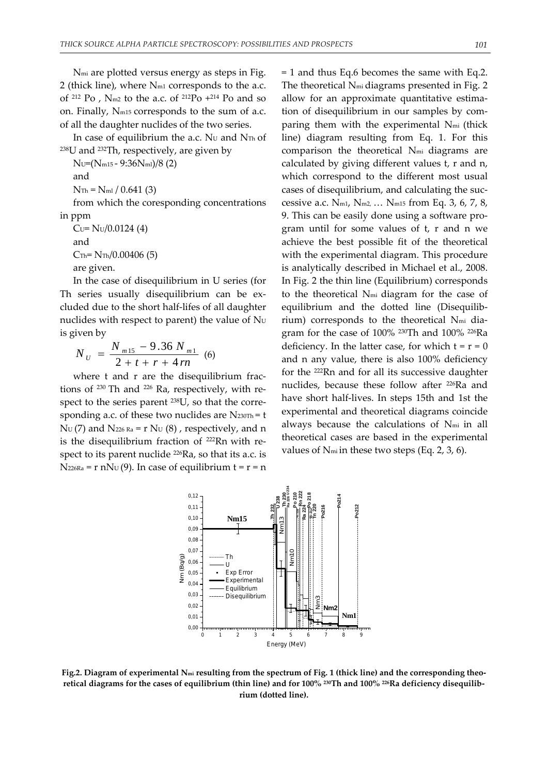Nmi are plotted versus energy as steps in Fig. 2 (thick line), where Nm1 corresponds to the a.c. of <sup>212</sup> Po , Nm2 to the a.c. of 212Po +214 Po and so on. Finally, Nm15 corresponds to the sum of a.c. of all the daughter nuclides of the two series.

In case of equilibrium the a.c. NU and NTh of 238U and 232Th, respectively, are given by

NU=(Nm15 ‐ 9:36Nml)/8 (2)

and

 $N_{\text{Th}} = N_{\text{ml}} / 0.641$  (3)

from which the coresponding concentrations in ppm

 $Cu= NU/0.0124(4)$ and  $Crh = NTh/0.00406(5)$ are given.

In the case of disequilibrium in U series (for Th series usually disequilibrium can be ex‐ cluded due to the short half‐lifes of all daughter nuclides with respect to parent) the value of  $N_U$ is given by

$$
N_{U} = \frac{N_{m15} - 9.36 N_{m1}}{2 + t + r + 4rn}
$$
 (6)

where t and r are the disequilibrium fractions of  $230$  Th and  $226$  Ra, respectively, with respect to the series parent <sup>238</sup>U, so that the corresponding a.c. of these two nuclides are  $N_{230Th} = t$  $N_U$  (7) and  $N_{226 R_a}$  = r  $N_U$  (8), respectively, and n is the disequilibrium fraction of <sup>222</sup>Rn with respect to its parent nuclide <sup>226</sup>Ra, so that its a.c. is  $N_{226Ra}$  = r n $N_U(9)$ . In case of equilibrium t = r = n = 1 and thus Eq.6 becomes the same with Eq.2. The theoretical Nmi diagrams presented in Fig. 2 allow for an approximate quantitative estimation of disequilibrium in our samples by com‐ paring them with the experimental Nmi (thick line) diagram resulting from Eq. 1. For this comparison the theoretical Nmi diagrams are calculated by giving different values t, r and n, which correspond to the different most usual cases of disequilibrium, and calculating the suc‐ cessive a.c.  $N_{m1}$ ,  $N_{m2}$ , ...  $N_{m15}$  from Eq. 3, 6, 7, 8, 9. This can be easily done using a software pro‐ gram until for some values of t, r and n we achieve the best possible fit of the theoretical with the experimental diagram. This procedure is analytically described in Michael et al., 2008. In Fig. 2 the thin line (Equilibrium) corresponds to the theoretical Nmi diagram for the case of equilibrium and the dotted line (Disequilib‐ rium) corresponds to the theoretical N<sub>mi</sub> diagram for the case of 100% 230Th and 100% 226Ra deficiency. In the latter case, for which  $t = r = 0$ and n any value, there is also 100% deficiency for the 222Rn and for all its successive daughter nuclides, because these follow after 226Ra and have short half‐lives. In steps 15th and 1st the experimental and theoretical diagrams coincide always because the calculations of Nmi in all theoretical cases are based in the experimental values of Nmi in these two steps (Eq. 2, 3, 6).



Fig.2. Diagram of experimental  $N_{mi}$  resulting from the spectrum of Fig. 1 (thick line) and the corresponding theoretical diagrams for the cases of equilibrium (thin line) and for 100% 230Th and 100% 226Ra deficiency disequilib**rium (dotted line).**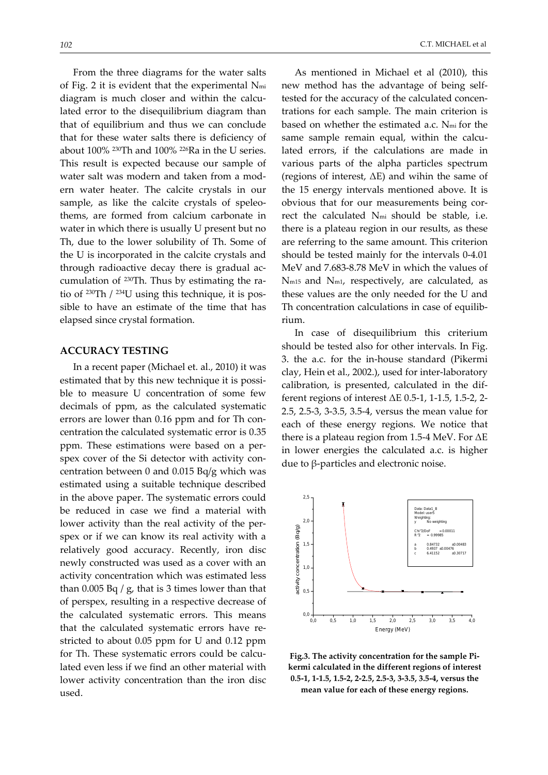From the three diagrams for the water salts of Fig. 2 it is evident that the experimental Nmi diagram is much closer and within the calculated error to the disequilibrium diagram than that of equilibrium and thus we can conclude that for these water salts there is deficiency of about 100% 230Th and 100% 226Ra in the U series. This result is expected because our sample of water salt was modern and taken from a modern water heater. The calcite crystals in our sample, as like the calcite crystals of speleothems, are formed from calcium carbonate in water in which there is usually U present but no Th, due to the lower solubility of Th. Some of the U is incorporated in the calcite crystals and through radioactive decay there is gradual ac‐ cumulation of <sup>230</sup>Th. Thus by estimating the ratio of  $230$ Th /  $234$ U using this technique, it is possible to have an estimate of the time that has elapsed since crystal formation.

## **ACCURACY TESTING**

In a recent paper (Michael et. al., 2010) it was estimated that by this new technique it is possible to measure U concentration of some few decimals of ppm, as the calculated systematic errors are lower than 0.16 ppm and for Th con‐ centration the calculated systematic error is 0.35 ppm. These estimations were based on a per‐ spex cover of the Si detector with activity concentration between 0 and 0.015 Bq/g which was estimated using a suitable technique described in the above paper. The systematic errors could be reduced in case we find a material with lower activity than the real activity of the per‐ spex or if we can know its real activity with a relatively good accuracy. Recently, iron disc newly constructed was used as a cover with an activity concentration which was estimated less than  $0.005$  Bq / g, that is 3 times lower than that of perspex, resulting in a respective decrease of the calculated systematic errors. This means that the calculated systematic errors have restricted to about 0.05 ppm for U and 0.12 ppm for Th. These systematic errors could be calculated even less if we find an other material with lower activity concentration than the iron disc used.

As mentioned in Michael et al (2010), this new method has the advantage of being self‐ tested for the accuracy of the calculated concentrations for each sample. The main criterion is based on whether the estimated a.c. Nmi for the same sample remain equal, within the calculated errors, if the calculations are made in various parts of the alpha particles spectrum (regions of interest, ΔΕ) and wihin the same of the 15 energy intervals mentioned above. It is obvious that for our measurements being cor‐ rect the calculated Nmi should be stable, i.e. there is a plateau region in our results, as these are referring to the same amount. This criterion should be tested mainly for the intervals 0‐4.01 MeV and 7.683‐8.78 MeV in which the values of Nm15 and Nm1, respectively, are calculated, as these values are the only needed for the U and Th concentration calculations in case of equilib‐ rium.

In case of disequilibrium this criterium should be tested also for other intervals. In Fig. 3. the a.c. for the in‐house standard (Pikermi clay, Hein et al., 2002.), used for inter‐laboratory calibration, is presented, calculated in the dif‐ ferent regions of interest  $\Delta E$  0.5-1, 1-1.5, 1.5-2, 2-2.5, 2.5‐3, 3‐3.5, 3.5‐4, versus the mean value for each of these energy regions. We notice that there is a plateau region from 1.5‐4 MeV. For ΔΕ in lower energies the calculated a.c. is higher due to β‐particles and electronic noise.



**Fig.3. The activity concentration for the sample Pi‐ kermi calculated in the different regions of interest 0.5‐1, 1‐1.5, 1.5‐2, 2‐2.5, 2.5‐3, 3‐3.5, 3.5‐4, versus the mean value for each of these energy regions.**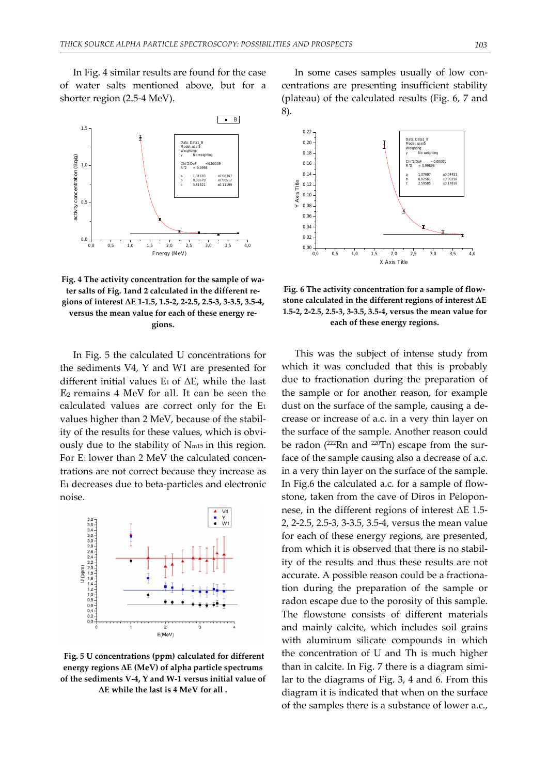In Fig. 4 similar results are found for the case of water salts mentioned above, but for a shorter region (2.5‐4 MeV).



**Fig. 4 The activity concentration for the sample of wa‐ ter salts of Fig. 1and 2 calculated in the different re‐ gions of interest ΔΕ 1‐1.5, 1.5‐2, 2‐2.5, 2.5‐3, 3‐3.5, 3.5‐4, versus the mean value for each of these energy re‐ gions.**

In Fig. 5 the calculated U concentrations for the sediments V4, Y and W1 are presented for different initial values  $E_1$  of  $\Delta E$ , while the last E2 remains 4 MeV for all. It can be seen the calculated values are correct only for the E1 values higher than 2 MeV, because of the stabil‐ ity of the results for these values, which is obvi‐ ously due to the stability of Nm15 in this region. For E<sub>1</sub> lower than 2 MeV the calculated concentrations are not correct because they increase as E1 decreases due to beta‐particles and electronic noise.



**Fig. 5 U concentrations (ppm) calculated for different energy regions ΔΕ (MeV) of alpha particle spectrums of the sediments V‐4, Y and W‐1 versus initial value of ΔΕ while the last is 4 MeV for all .**

In some cases samples usually of low concentrations are presenting insufficient stability (plateau) of the calculated results (Fig. 6, 7 and 8).



**Fig. 6 The activity concentration for a sample of flow‐ stone calculated in the different regions of interest ΔΕ 1.5‐2, 2‐2.5, 2.5‐3, 3‐3.5, 3.5‐4, versus the mean value for each of these energy regions.**

This was the subject of intense study from which it was concluded that this is probably due to fractionation during the preparation of the sample or for another reason, for example dust on the surface of the sample, causing a decrease or increase of a.c. in a very thin layer on the surface of the sample. Another reason could be radon (<sup>222</sup>Rn and <sup>220</sup>Tn) escape from the surface of the sample causing also a decrease of a.c. in a very thin layer on the surface of the sample. In Fig.6 the calculated a.c. for a sample of flow‐ stone, taken from the cave of Diros in Pelopon‐ nese, in the different regions of interest ΔΕ 1.5‐ 2, 2‐2.5, 2.5‐3, 3‐3.5, 3.5‐4, versus the mean value for each of these energy regions, are presented, from which it is observed that there is no stability of the results and thus these results are not accurate. A possible reason could be a fractiona‐ tion during the preparation of the sample or radon escape due to the porosity of this sample. The flowstone consists of different materials and mainly calcite, which includes soil grains with aluminum silicate compounds in which the concentration of U and Th is much higher than in calcite. In Fig. 7 there is a diagram simi‐ lar to the diagrams of Fig. 3, 4 and 6. From this diagram it is indicated that when on the surface of the samples there is a substance of lower a.c.,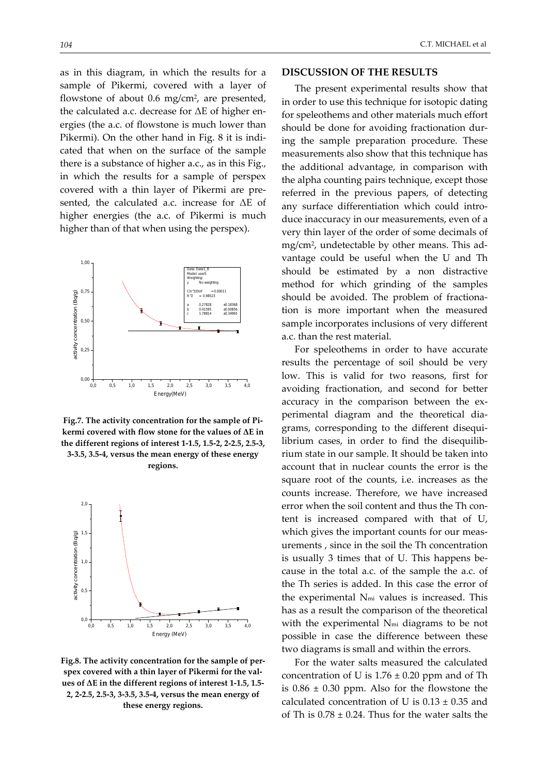as in this diagram, in which the results for a sample of Pikermi, covered with a layer of flowstone of about 0.6 mg/cm<sup>2</sup>, are presented, the calculated a.c. decrease for  $\Delta E$  of higher energies (the a.c. of flowstone is much lower than Pikermi). On the other hand in Fig. 8 it is indi‐ cated that when on the surface of the sample

there is a substance of higher a.c., as in this Fig., in which the results for a sample of perspex covered with a thin layer of Pikermi are pre‐ sented, the calculated a.c. increase for ΔΕ of higher energies (the a.c. of Pikermi is much higher than of that when using the perspex).



**Fig.7. The activity concentration for the sample of Pi‐ kermi covered with flow stone for the values of ΔΕ in the different regions of interest 1‐1.5, 1.5‐2, 2‐2.5, 2.5‐3, 3‐3.5, 3.5‐4, versus the mean energy of these energy regions.** 



**Fig.8. The activity concentration for the sample of per‐ spex covered with a thin layer of Pikermi for the val‐ ues of ΔΕ in the different regions of interest 1‐1.5, 1.5‐ 2, 2‐2.5, 2.5‐3, 3‐3.5, 3.5‐4, versus the mean energy of these energy regions.** 

### **DISCUSSION OF THE RESULTS**

The present experimental results show that in order to use this technique for isotopic dating for speleothems and other materials much effort should be done for avoiding fractionation dur‐ ing the sample preparation procedure. These measurements also show that this technique has the additional advantage, in comparison with the alpha counting pairs technique, except those referred in the previous papers, of detecting any surface differentiation which could introduce inaccuracy in our measurements, even of a very thin layer of the order of some decimals of mg/cm<sup>2</sup>, undetectable by other means. This advantage could be useful when the U and Th should be estimated by a non distractive method for which grinding of the samples should be avoided. The problem of fractiona‐ tion is more important when the measured sample incorporates inclusions of very different a.c. than the rest material.

For speleothems in order to have accurate results the percentage of soil should be very low. This is valid for two reasons, first for avoiding fractionation, and second for better accuracy in the comparison between the ex‐ perimental diagram and the theoretical dia‐ grams, corresponding to the different disequi‐ librium cases, in order to find the disequilib‐ rium state in our sample. It should be taken into account that in nuclear counts the error is the square root of the counts, i.e. increases as the counts increase. Therefore, we have increased error when the soil content and thus the Th content is increased compared with that of U, which gives the important counts for our measurements , since in the soil the Th concentration is usually 3 times that of U. This happens be‐ cause in the total a.c. of the sample the a.c. of the Th series is added. In this case the error of the experimental Nmi values is increased. This has as a result the comparison of the theoretical with the experimental N<sub>mi</sub> diagrams to be not possible in case the difference between these two diagrams is small and within the errors.

For the water salts measured the calculated concentration of U is  $1.76 \pm 0.20$  ppm and of Th is  $0.86 \pm 0.30$  ppm. Also for the flowstone the calculated concentration of U is  $0.13 \pm 0.35$  and of Th is  $0.78 \pm 0.24$ . Thus for the water salts the